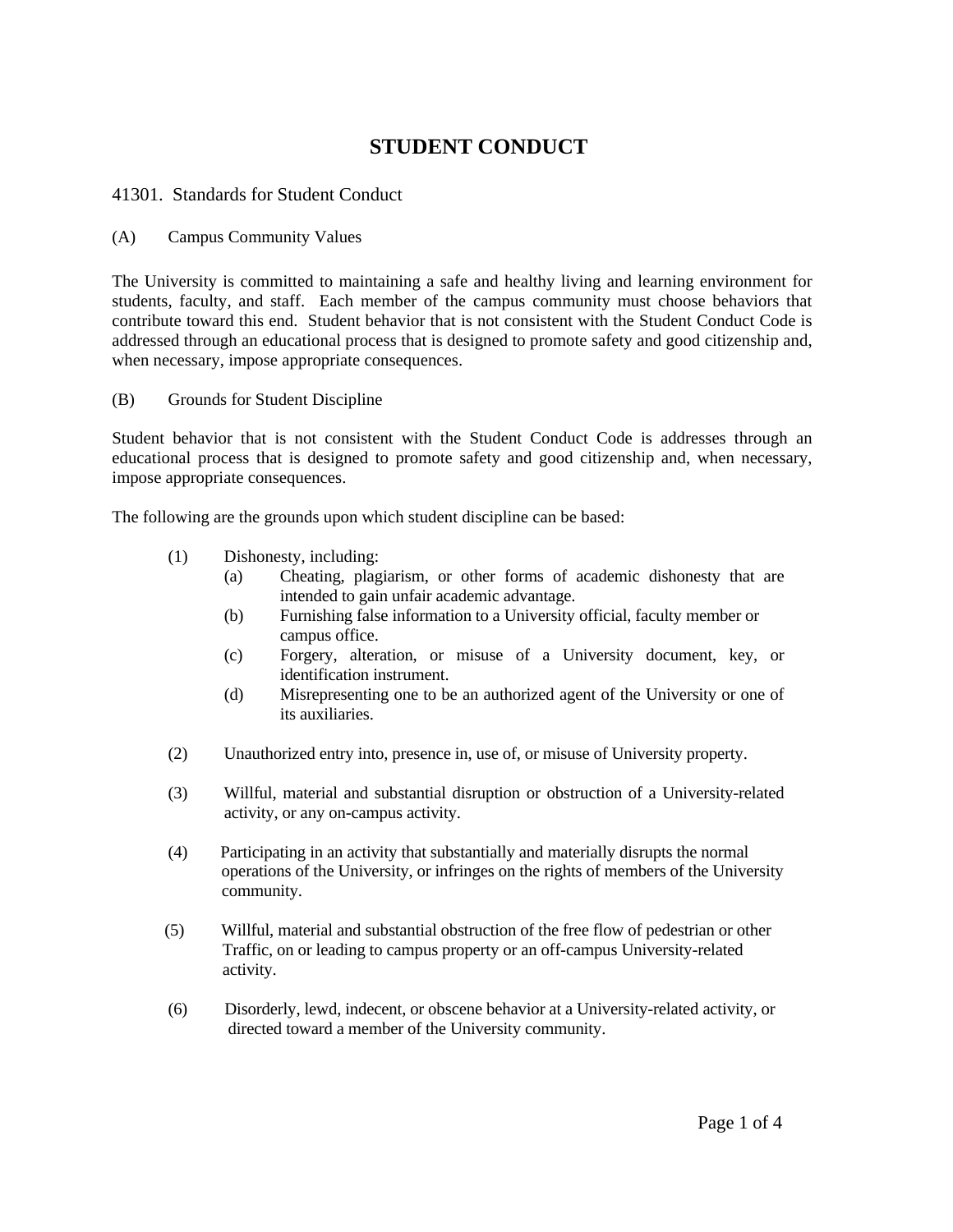## **STUDENT CONDUCT**

41301. Standards for Student Conduct

(A) Campus Community Values

The University is committed to maintaining a safe and healthy living and learning environment for students, faculty, and staff. Each member of the campus community must choose behaviors that contribute toward this end. Student behavior that is not consistent with the Student Conduct Code is addressed through an educational process that is designed to promote safety and good citizenship and, when necessary, impose appropriate consequences.

(B) Grounds for Student Discipline

Student behavior that is not consistent with the Student Conduct Code is addresses through an educational process that is designed to promote safety and good citizenship and, when necessary, impose appropriate consequences.

The following are the grounds upon which student discipline can be based:

- (1) Dishonesty, including:
	- (a) Cheating, plagiarism, or other forms of academic dishonesty that are intended to gain unfair academic advantage.
	- (b) Furnishing false information to a University official, faculty member or campus office.
	- (c) Forgery, alteration, or misuse of a University document, key, or identification instrument.
	- (d) Misrepresenting one to be an authorized agent of the University or one of its auxiliaries.
- (2) Unauthorized entry into, presence in, use of, or misuse of University property.
- (3) Willful, material and substantial disruption or obstruction of a University-related activity, or any on-campus activity.
- (4) Participating in an activity that substantially and materially disrupts the normal operations of the University, or infringes on the rights of members of the University community.
- (5) Willful, material and substantial obstruction of the free flow of pedestrian or other Traffic, on or leading to campus property or an off-campus University-related activity.
- (6) Disorderly, lewd, indecent, or obscene behavior at a University-related activity, or directed toward a member of the University community.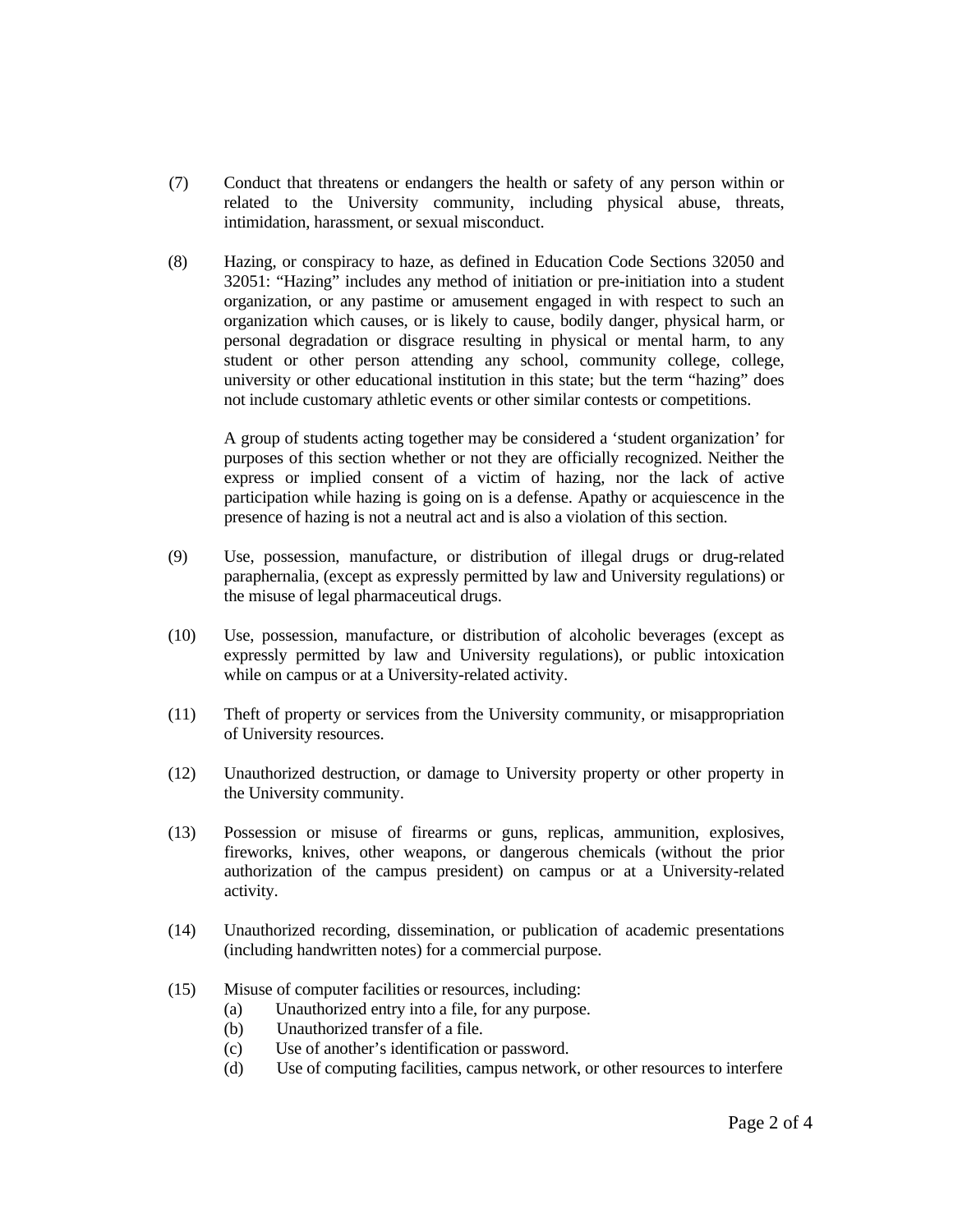- (7) Conduct that threatens or endangers the health or safety of any person within or related to the University community, including physical abuse, threats, intimidation, harassment, or sexual misconduct.
- (8) Hazing, or conspiracy to haze, as defined in Education Code Sections 32050 and 32051: "Hazing" includes any method of initiation or pre-initiation into a student organization, or any pastime or amusement engaged in with respect to such an organization which causes, or is likely to cause, bodily danger, physical harm, or personal degradation or disgrace resulting in physical or mental harm, to any student or other person attending any school, community college, college, university or other educational institution in this state; but the term "hazing" does not include customary athletic events or other similar contests or competitions.

A group of students acting together may be considered a 'student organization' for purposes of this section whether or not they are officially recognized. Neither the express or implied consent of a victim of hazing, nor the lack of active participation while hazing is going on is a defense. Apathy or acquiescence in the presence of hazing is not a neutral act and is also a violation of this section.

- (9) Use, possession, manufacture, or distribution of illegal drugs or drug-related paraphernalia, (except as expressly permitted by law and University regulations) or the misuse of legal pharmaceutical drugs.
- (10) Use, possession, manufacture, or distribution of alcoholic beverages (except as expressly permitted by law and University regulations), or public intoxication while on campus or at a University-related activity.
- (11) Theft of property or services from the University community, or misappropriation of University resources.
- (12) Unauthorized destruction, or damage to University property or other property in the University community.
- (13) Possession or misuse of firearms or guns, replicas, ammunition, explosives, fireworks, knives, other weapons, or dangerous chemicals (without the prior authorization of the campus president) on campus or at a University-related activity.
- (14) Unauthorized recording, dissemination, or publication of academic presentations (including handwritten notes) for a commercial purpose.
- (15) Misuse of computer facilities or resources, including:
	- (a) Unauthorized entry into a file, for any purpose.
	- (b) Unauthorized transfer of a file.
	- (c) Use of another's identification or password.
	- (d) Use of computing facilities, campus network, or other resources to interfere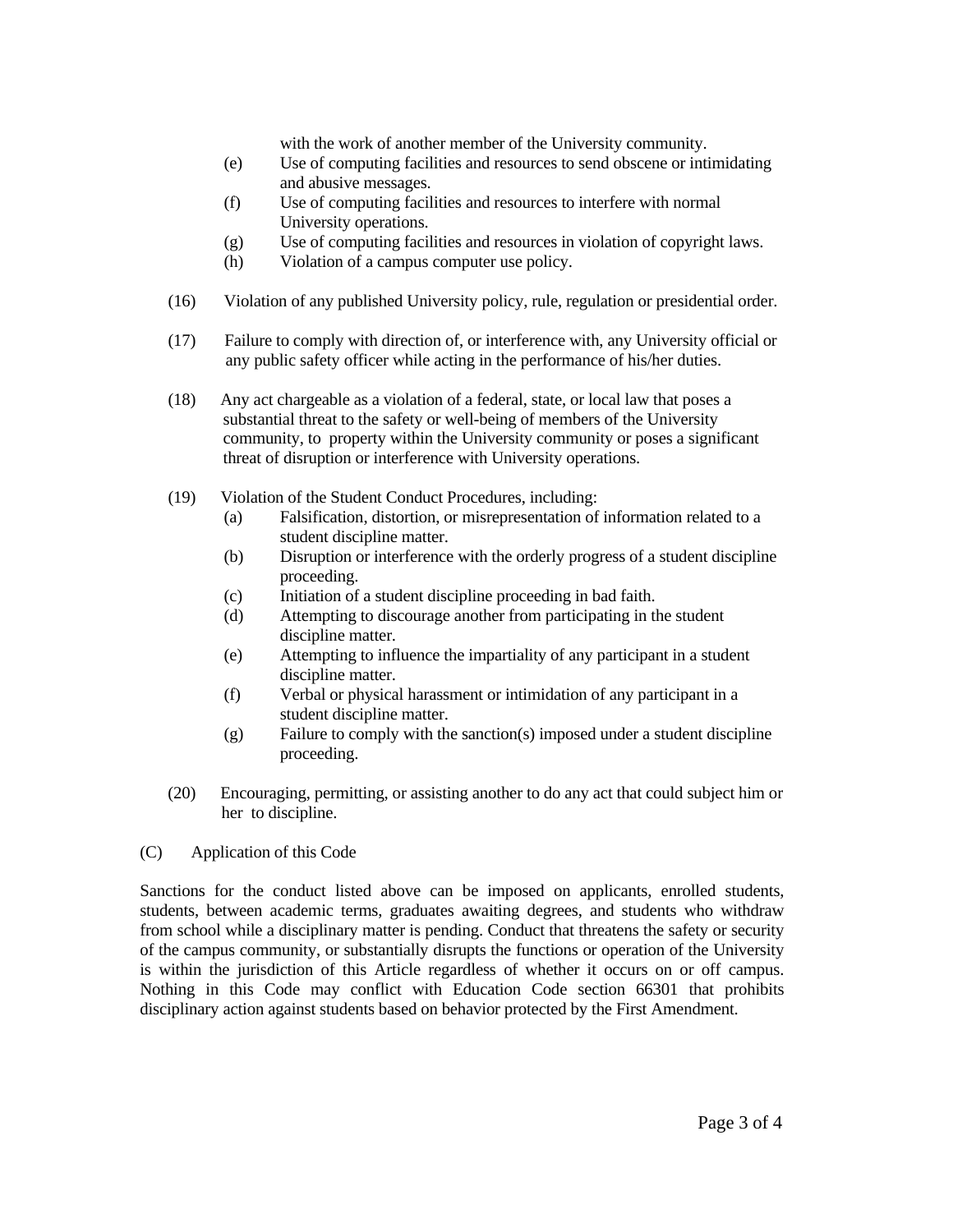with the work of another member of the University community.

- (e) Use of computing facilities and resources to send obscene or intimidating and abusive messages.
- (f) Use of computing facilities and resources to interfere with normal University operations.
- (g) Use of computing facilities and resources in violation of copyright laws.
- (h) Violation of a campus computer use policy.
- (16) Violation of any published University policy, rule, regulation or presidential order.
- (17) Failure to comply with direction of, or interference with, any University official or any public safety officer while acting in the performance of his/her duties.
- (18) Any act chargeable as a violation of a federal, state, or local law that poses a substantial threat to the safety or well-being of members of the University community, to property within the University community or poses a significant threat of disruption or interference with University operations.
- (19) Violation of the Student Conduct Procedures, including:
	- (a) Falsification, distortion, or misrepresentation of information related to a student discipline matter.
	- (b) Disruption or interference with the orderly progress of a student discipline proceeding.
	- (c) Initiation of a student discipline proceeding in bad faith.
	- (d) Attempting to discourage another from participating in the student discipline matter.
	- (e) Attempting to influence the impartiality of any participant in a student discipline matter.
	- (f) Verbal or physical harassment or intimidation of any participant in a student discipline matter.
	- (g) Failure to comply with the sanction(s) imposed under a student discipline proceeding.
- (20) Encouraging, permitting, or assisting another to do any act that could subject him or her to discipline.
- (C) Application of this Code

Sanctions for the conduct listed above can be imposed on applicants, enrolled students, students, between academic terms, graduates awaiting degrees, and students who withdraw from school while a disciplinary matter is pending. Conduct that threatens the safety or security of the campus community, or substantially disrupts the functions or operation of the University is within the jurisdiction of this Article regardless of whether it occurs on or off campus. Nothing in this Code may conflict with Education Code section 66301 that prohibits disciplinary action against students based on behavior protected by the First Amendment.